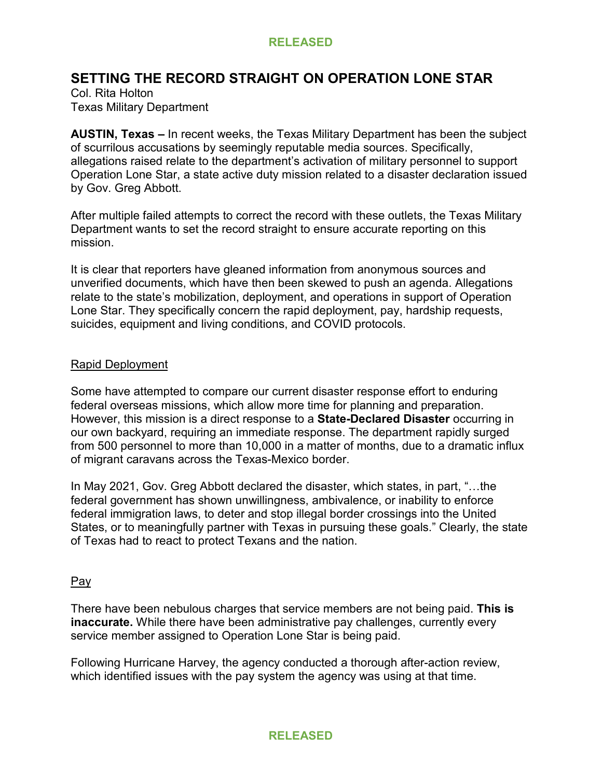# **SETTING THE RECORD STRAIGHT ON OPERATION LONE STAR**

Col. Rita Holton Texas Military Department

**AUSTIN, Texas –** In recent weeks, the Texas Military Department has been the subject of scurrilous accusations by seemingly reputable media sources. Specifically, allegations raised relate to the department's activation of military personnel to support Operation Lone Star, a state active duty mission related to a disaster declaration issued by Gov. Greg Abbott.

After multiple failed attempts to correct the record with these outlets, the Texas Military Department wants to set the record straight to ensure accurate reporting on this mission.

It is clear that reporters have gleaned information from anonymous sources and unverified documents, which have then been skewed to push an agenda. Allegations relate to the state's mobilization, deployment, and operations in support of Operation Lone Star. They specifically concern the rapid deployment, pay, hardship requests, suicides, equipment and living conditions, and COVID protocols.

## Rapid Deployment

Some have attempted to compare our current disaster response effort to enduring federal overseas missions, which allow more time for planning and preparation. However, this mission is a direct response to a **State-Declared Disaster** occurring in our own backyard, requiring an immediate response. The department rapidly surged from 500 personnel to more than 10,000 in a matter of months, due to a dramatic influx of migrant caravans across the Texas-Mexico border.

In May 2021, Gov. Greg Abbott declared the disaster, which states, in part, "…the federal government has shown unwillingness, ambivalence, or inability to enforce federal immigration laws, to deter and stop illegal border crossings into the United States, or to meaningfully partner with Texas in pursuing these goals." Clearly, the state of Texas had to react to protect Texans and the nation.

#### Pay

There have been nebulous charges that service members are not being paid. **This is inaccurate.** While there have been administrative pay challenges, currently every service member assigned to Operation Lone Star is being paid.

Following Hurricane Harvey, the agency conducted a thorough after-action review, which identified issues with the pay system the agency was using at that time.

## **RELEASED**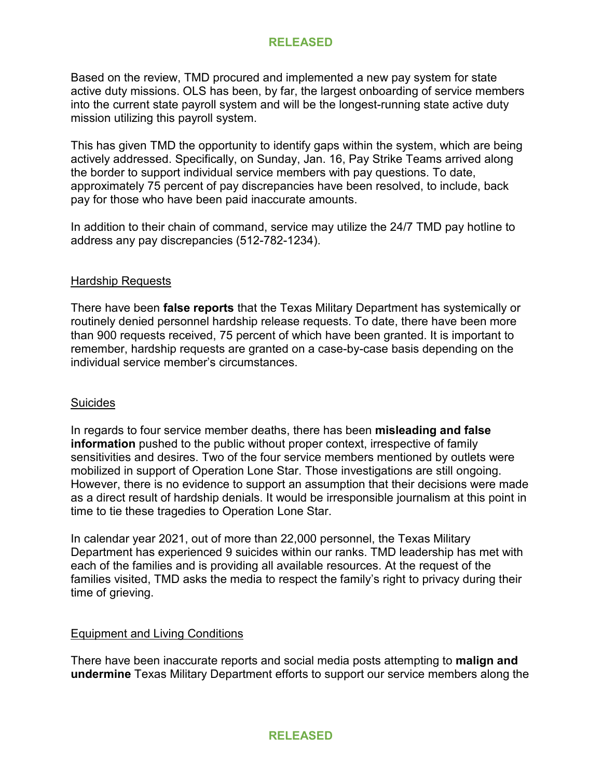Based on the review, TMD procured and implemented a new pay system for state active duty missions. OLS has been, by far, the largest onboarding of service members into the current state payroll system and will be the longest-running state active duty mission utilizing this payroll system.

This has given TMD the opportunity to identify gaps within the system, which are being actively addressed. Specifically, on Sunday, Jan. 16, Pay Strike Teams arrived along the border to support individual service members with pay questions. To date, approximately 75 percent of pay discrepancies have been resolved, to include, back pay for those who have been paid inaccurate amounts.

In addition to their chain of command, service may utilize the 24/7 TMD pay hotline to address any pay discrepancies (512-782-1234).

#### Hardship Requests

There have been **false reports** that the Texas Military Department has systemically or routinely denied personnel hardship release requests. To date, there have been more than 900 requests received, 75 percent of which have been granted. It is important to remember, hardship requests are granted on a case-by-case basis depending on the individual service member's circumstances.

## **Suicides**

In regards to four service member deaths, there has been **misleading and false information** pushed to the public without proper context, irrespective of family sensitivities and desires. Two of the four service members mentioned by outlets were mobilized in support of Operation Lone Star. Those investigations are still ongoing. However, there is no evidence to support an assumption that their decisions were made as a direct result of hardship denials. It would be irresponsible journalism at this point in time to tie these tragedies to Operation Lone Star.

In calendar year 2021, out of more than 22,000 personnel, the Texas Military Department has experienced 9 suicides within our ranks. TMD leadership has met with each of the families and is providing all available resources. At the request of the families visited, TMD asks the media to respect the family's right to privacy during their time of grieving.

## Equipment and Living Conditions

There have been inaccurate reports and social media posts attempting to **malign and undermine** Texas Military Department efforts to support our service members along the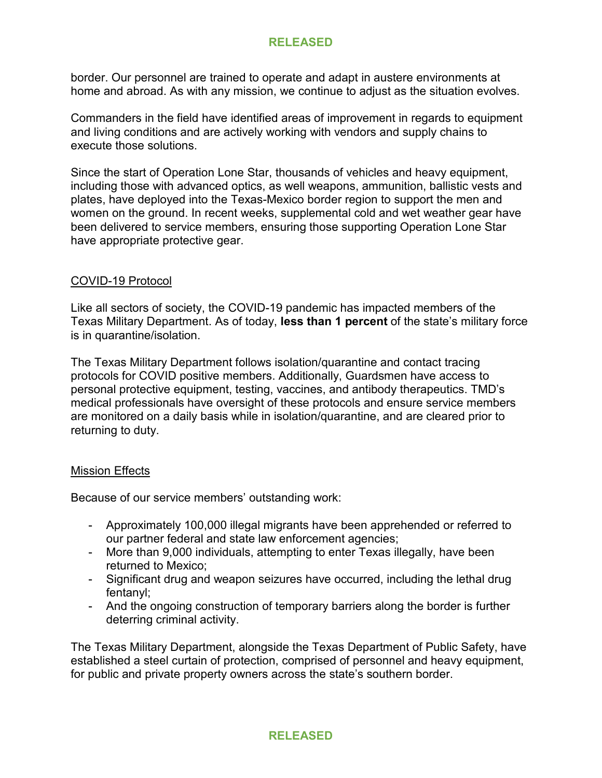border. Our personnel are trained to operate and adapt in austere environments at home and abroad. As with any mission, we continue to adjust as the situation evolves.

Commanders in the field have identified areas of improvement in regards to equipment and living conditions and are actively working with vendors and supply chains to execute those solutions.

Since the start of Operation Lone Star, thousands of vehicles and heavy equipment, including those with advanced optics, as well weapons, ammunition, ballistic vests and plates, have deployed into the Texas-Mexico border region to support the men and women on the ground. In recent weeks, supplemental cold and wet weather gear have been delivered to service members, ensuring those supporting Operation Lone Star have appropriate protective gear.

#### COVID-19 Protocol

Like all sectors of society, the COVID-19 pandemic has impacted members of the Texas Military Department. As of today, **less than 1 percent** of the state's military force is in quarantine/isolation.

The Texas Military Department follows isolation/quarantine and contact tracing protocols for COVID positive members. Additionally, Guardsmen have access to personal protective equipment, testing, vaccines, and antibody therapeutics. TMD's medical professionals have oversight of these protocols and ensure service members are monitored on a daily basis while in isolation/quarantine, and are cleared prior to returning to duty.

## Mission Effects

Because of our service members' outstanding work:

- Approximately 100,000 illegal migrants have been apprehended or referred to our partner federal and state law enforcement agencies;
- More than 9,000 individuals, attempting to enter Texas illegally, have been returned to Mexico;
- Significant drug and weapon seizures have occurred, including the lethal drug fentanyl;
- And the ongoing construction of temporary barriers along the border is further deterring criminal activity.

The Texas Military Department, alongside the Texas Department of Public Safety, have established a steel curtain of protection, comprised of personnel and heavy equipment, for public and private property owners across the state's southern border.

## **RELEASED**